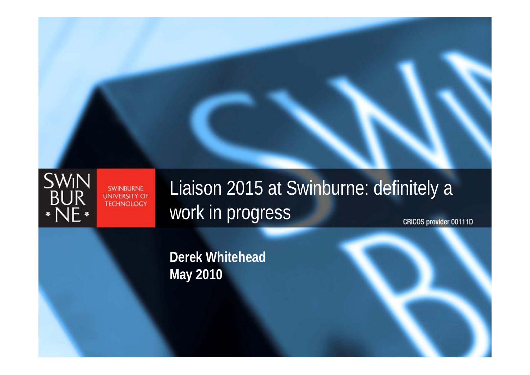

#### **SWINBURNE UNIVERSITY OF TECHNOLOGY**

#### Liaison 2015 at Swinburne: definitely a work in progress **CRICOS provider 00111D**

**Derek Whitehead May 2010**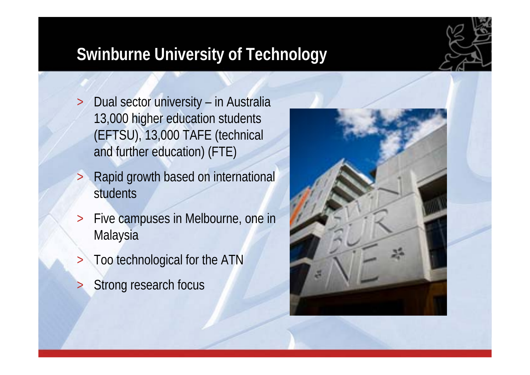#### **Swinburne University of Technology**

- $\geq$  Dual sector university – in Australia 13,000 higher education students (EFTSU), 13,000 TAFE (technical and further education) (FTE)
- > Rapid growth based on international students
- > Five campuses in Melbourne, one in Malaysia
	- Too technological for the ATN
- >Strong research focus

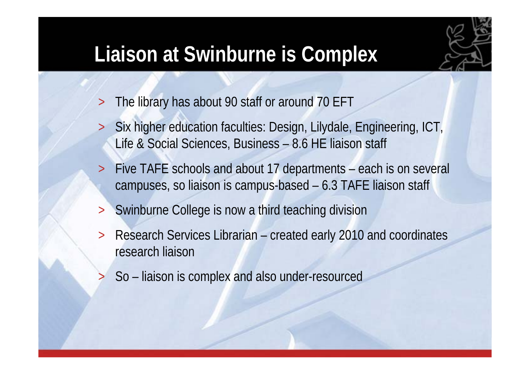#### **Liaison at Swinburne is Complex**



- >The library has about 90 staff or around 70 EFT
- > Six higher education faculties: Design, Lilydale, Engineering, ICT, Life & Social Sciences, Business – 8.6 HE liaison staff
- > Five TAFE schools and about 17 departments – each is on several campuses, so liaison is campus-based – 6.3 TAFE liaison staff
- >Swinburne College is now a third teaching division
- > Research Services Librarian – created early 2010 and coordinates research liaison
	- So liaison is complex and also under-resourced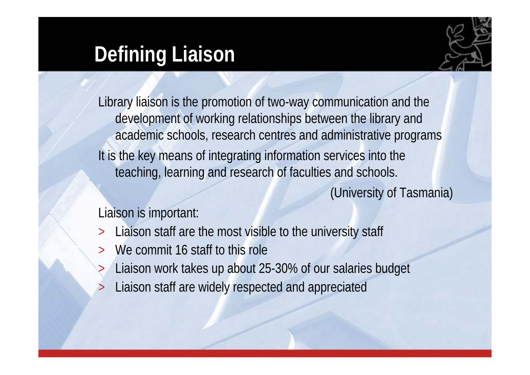#### **Defining Liaison**



Library liaison is the promotion of two-way communication and the development of working relationships between the library and academic schools, research centres and administrative programs It is the key means of integrating information services into the teaching, learning and research of faculties and schools.

(University of Tasmania)

Liaison is important:

- >Liaison staff are the most visible to the university staff
- >We commit 16 staff to this role
- >Liaison work takes up about 25-30% of our salaries budget
- >Liaison staff are widely respected and appreciated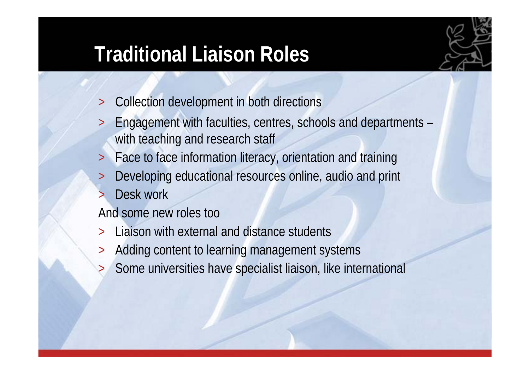#### **Traditional Liaison Roles**



- >Collection development in both directions
- > Engagement with faculties, centres, schools and departments – with teaching and research staff
- >Face to face information literacy, orientation and training
- >Developing educational resources online, audio and print
- >Desk work

And some new roles too

- >Liaison with external and distance students
- >Adding content to learning management systems
- >Some universities have specialist liaison, like international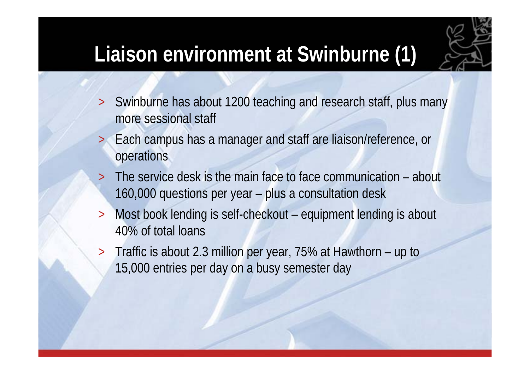### **Liaison environment at Swinburne (1)**



- > Swinburne has about 1200 teaching and research staff, plus many more sessional staff
- > Each campus has a manager and staff are liaison/reference, or operations
- > The service desk is the main face to face communication – about 160,000 questions per year – plus a consultation desk
- > Most book lending is self-checkout – equipment lending is about 40% of total loans
- $\geq$  Traffic is about 2.3 million per year, 75% at Hawthorn – up to 15,000 entries per day on a busy semester day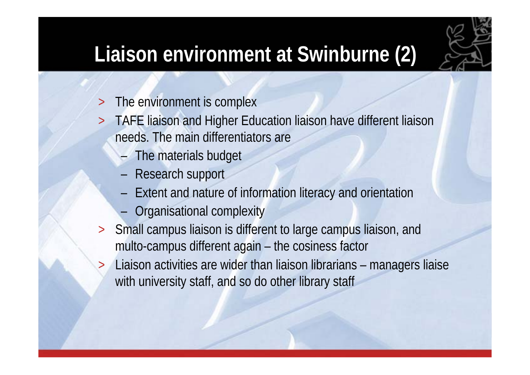## **Liaison environment at Swinburne (2)**

- >The environment is complex
- > TAFE liaison and Higher Education liaison have different liaison needs. The main differentiators are
	- –The materials budget
	- –Research support

- –Extent and nature of information literacy and orientation
- –Organisational complexity
- > Small campus liaison is different to large campus liaison, and multo-campus different again – the cosiness factor
	- Liaison activities are wider than liaison librarians managers liaise with university staff, and so do other library staff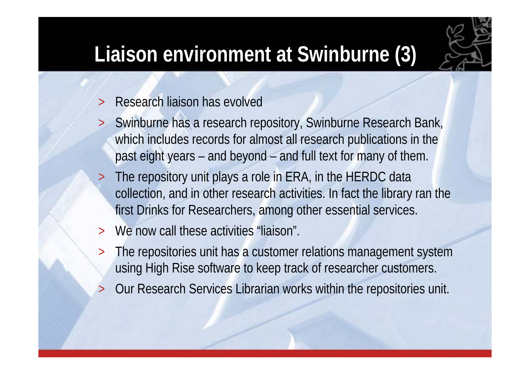#### **Liaison environment at Swinburne (3)**



- >Research liaison has evolved
- > Swinburne has a research repository, Swinburne Research Bank, which includes records for almost all research publications in the past eight years – and beyond – and full text for many of them.
- > The repository unit plays a role in ERA, in the HERDC data collection, and in other research activities. In fact the library ran the first Drinks for Researchers, among other essential services.
- >We now call these activities "liaison".
- $\geq$  The repositories unit has a customer relations management system using High Rise software to keep track of researcher customers.
- >Our Research Services Librarian works within the repositories unit.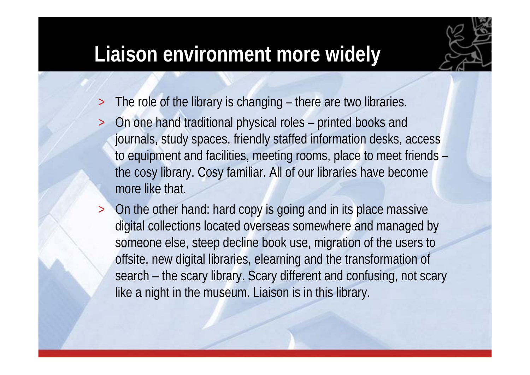#### **Liaison environment more widely**



- >The role of the library is changing – there are two libraries.
- > On one hand traditional physical roles – printed books and journals, study spaces, friendly staffed information desks, access to equipment and facilities, meeting rooms, place to meet friends – the cosy library. Cosy familiar. All of our libraries have become more like that.
- > On the other hand: hard copy is going and in its place massive digital collections located overseas somewhere and managed by someone else, steep decline book use, migration of the users to offsite, new digital libraries, elearning and the transformation of search – the scary library. Scary different and confusing, not scary like a night in the museum. Liaison is in this library.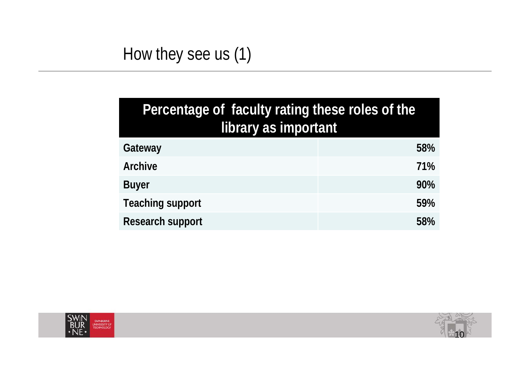#### How they see us (1)

| Percentage of faculty rating these roles of the<br>library as important |     |  |  |
|-------------------------------------------------------------------------|-----|--|--|
| Gateway                                                                 | 58% |  |  |
| <b>Archive</b>                                                          | 71% |  |  |
| <b>Buyer</b>                                                            | 90% |  |  |
| <b>Teaching support</b>                                                 | 59% |  |  |
| <b>Research support</b>                                                 | 58% |  |  |



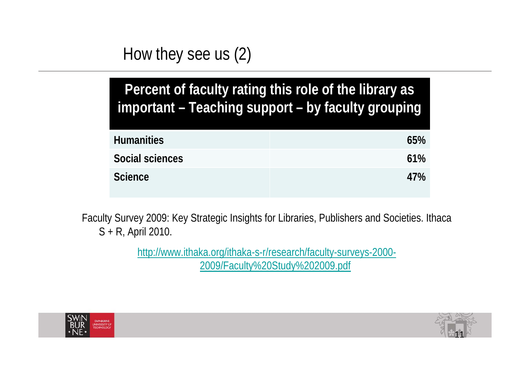#### How they see us (2)

| Percent of faculty rating this role of the library as |  |  |
|-------------------------------------------------------|--|--|
| important - Teaching support - by faculty grouping    |  |  |

| <b>Humanities</b> | 65% |
|-------------------|-----|
| Social sciences   | 61% |
| <b>Science</b>    | 47% |

Faculty Survey 2009: Key Strategic Insights for Libraries, Publishers and Societies. Ithaca S + R, April 2010.

> http://www.ithaka.org/ithaka-s-r/research/faculty-surveys-2000- 2009/Faculty%20Study%202009.pdf



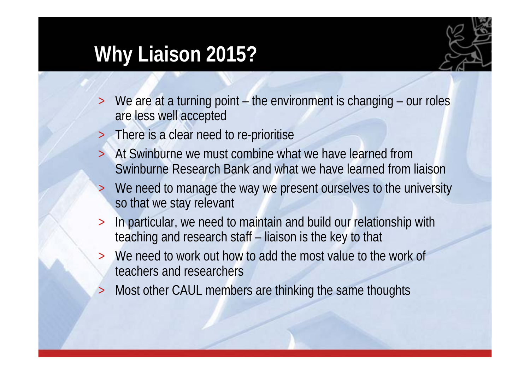#### **Why Liaison 2015?**



- >We are at a turning point – the environment is changing – our roles are less well accepted
- >There is a clear need to re-prioritise
- >At Swinburne we must combine what we have learned from Swinburne Research Bank and what we have learned from liaison
- >We need to manage the way we present ourselves to the university so that we stay relevant
- > In particular, we need to maintain and build our relationship with teaching and research staff – liaison is the key to that
- >We need to work out how to add the most value to the work of teachers and researchers
- >Most other CAUL members are thinking the same thoughts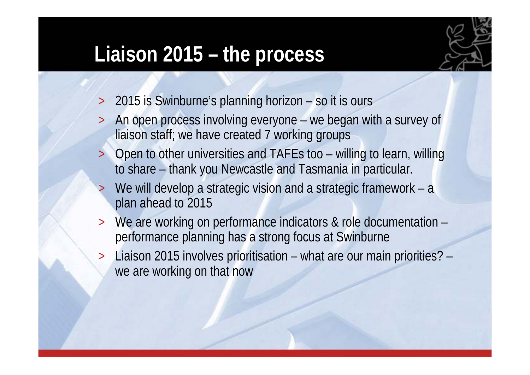#### **Liaison 2015 – the process**



- >2015 is Swinburne's planning horizon – so it is ours
- > An open process involving everyone – we began with a survey of liaison staff; we have created 7 working groups
- > Open to other universities and TAFEs too – willing to learn, willing to share – thank you Newcastle and Tasmania in particular.
- >We will develop a strategic vision and a strategic framework – a plan ahead to 2015
- >We are working on performance indicators & role documentation performance planning has a strong focus at Swinburne
- > Liaison 2015 involves prioritisation – what are our main priorities? – we are working on that now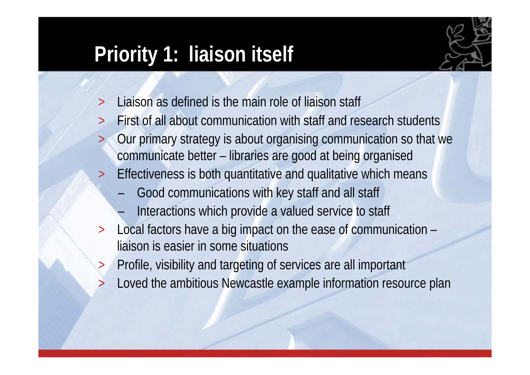#### **Priority 1: liaison itself**



- >Liaison as defined is the main role of liaison staff
- > First of all about communication with staff and research students > Our primary strategy is about organising communication so that we communicate better – libraries are good at being organised
- > Effectiveness is both quantitative and qualitative which means
	- –Good communications with key staff and all staff
	- –Interactions which provide a valued service to staff
- > Local factors have a big impact on the ease of communication – liaison is easier in some situations
- > Profile, visibility and targeting of services are all important
	- Loved the ambitious Newcastle example information resource plan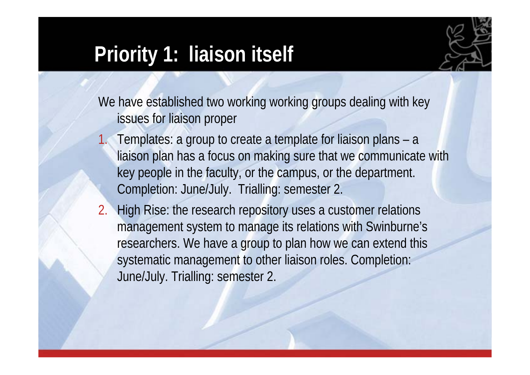#### **Priority 1: liaison itself**



We have established two working working groups dealing with key issues for liaison proper

- 1. Templates: a group to create a template for liaison plans – <sup>a</sup> liaison plan has a focus on making sure that we communicate with key people in the faculty, or the campus, or the department. Completion: June/July. Trialling: semester 2.
- 2. High Rise: the research repository uses a customer relations management system to manage its relations with Swinburne's researchers. We have a group to plan how we can extend this systematic management to other liaison roles. Completion: June/July. Trialling: semester 2.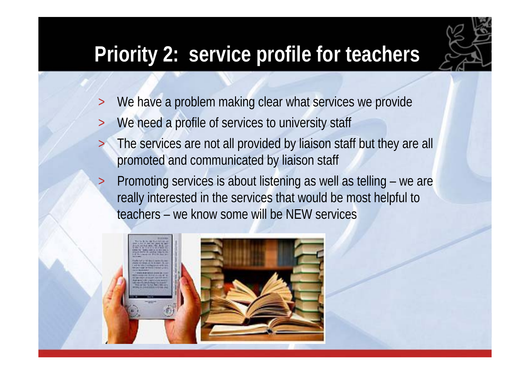# **Priority 2: service profile for teachers**

- >We have a problem making clear what services we provide
- >We need a profile of services to university staff
- > The services are not all provided by liaison staff but they are all promoted and communicated by liaison staff
- > Promoting services is about listening as well as telling – we are really interested in the services that would be most helpful to teachers – we know some will be NEW services

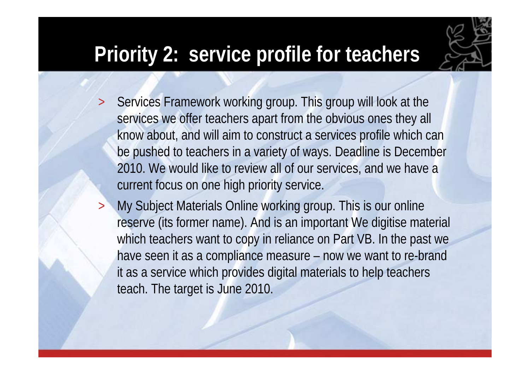## **Priority 2: service profile for teachers**



- > Services Framework working group. This group will look at the services we offer teachers apart from the obvious ones they all know about, and will aim to construct a services profile which can be pushed to teachers in a variety of ways. Deadline is December 2010. We would like to review all of our services, and we have a current focus on one high priority service.
- > My Subject Materials Online working group. This is our online reserve (its former name). And is an important We digitise material which teachers want to copy in reliance on Part VB. In the past we have seen it as a compliance measure – now we want to re-brand it as a service which provides digital materials to help teachers teach. The target is June 2010.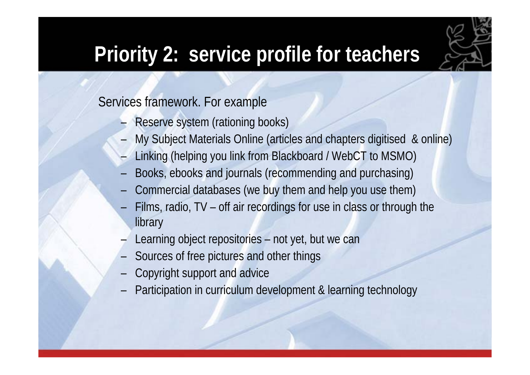

## **Priority 2: service profile for teachers**

Services framework. For example

- –Reserve system (rationing books)
- –My Subject Materials Online (articles and chapters digitised & online)
- –Linking (helping you link from Blackboard / WebCT to MSMO)
- –Books, ebooks and journals (recommending and purchasing)
- Commercial databases (we buy them and help you use them)
- Films, radio, TV off air recordings for use in class or through the library
- Learning object repositories not yet, but we can
- Sources of free pictures and other things
- Copyright support and advice
- Participation in curriculum development & learning technology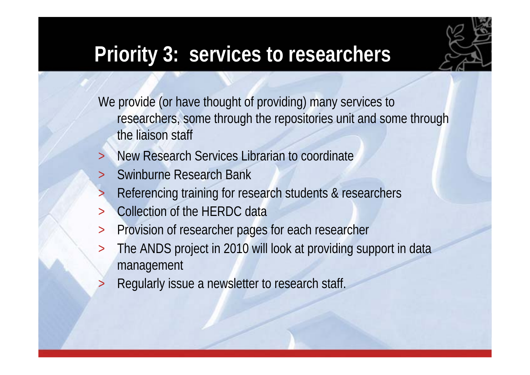

#### **Priority 3: services to researchers**

We provide (or have thought of providing) many services to researchers, some through the repositories unit and some through the liaison staff

- >New Research Services Librarian to coordinate
- >Swinburne Research Bank
- >Referencing training for research students & researchers
- >Collection of the HERDC data
- >Provision of researcher pages for each researcher
- $\geq$  The ANDS project in 2010 will look at providing support in data management
- >Regularly issue a newsletter to research staff.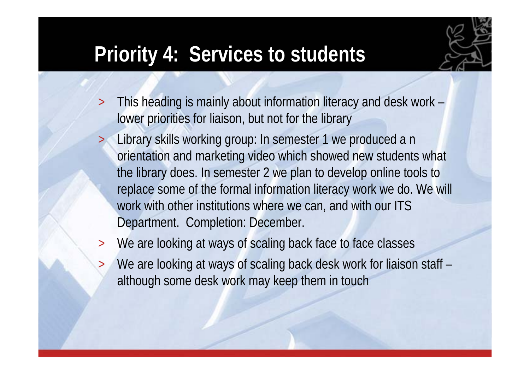## **Priority 4: Services to students**

>



- > This heading is mainly about information literacy and desk work – lower priorities for liaison, but not for the library
	- Library skills working group: In semester 1 we produced a n orientation and marketing video which showed new students what the library does. In semester 2 we plan to develop online tools to replace some of the formal information literacy work we do. We will work with other institutions where we can, and with our ITS Department. Completion: December.
- > We are looking at ways of scaling back face to face classes
	- We are looking at ways of scaling back desk work for liaison staff although some desk work may keep them in touch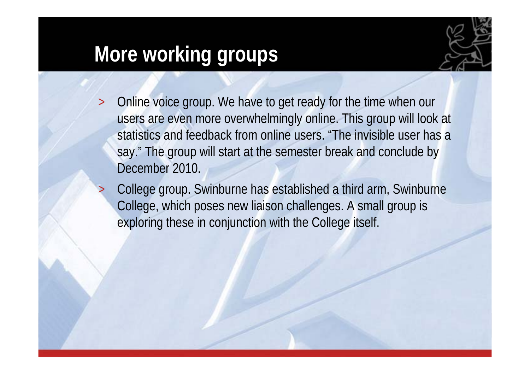### **More working groups**



- > Online voice group. We have to get ready for the time when our users are even more overwhelmingly online. This group will look at statistics and feedback from online users. "The invisible user has a say." The group will start at the semester break and conclude by December 2010.
	- College group. Swinburne has established a third arm, Swinburne College, which poses new liaison challenges. A small group is exploring these in conjunction with the College itself.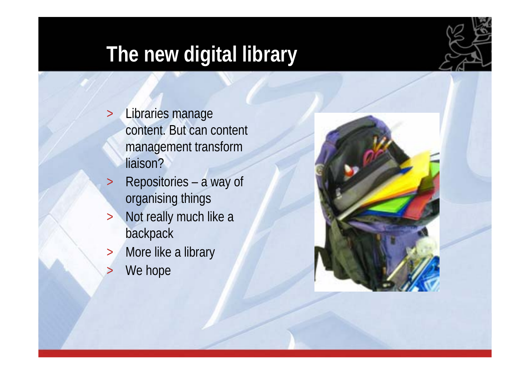# **The new digital library**

- $\geq$  Libraries manage content. But can content management transform liaison?
- $>$  Repositories – a way of organising things
- $>$  Not really much like a backpack
- $>$ More like a library
- >We hope

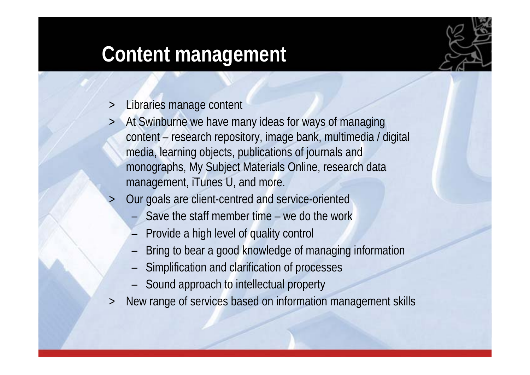#### **Content management**

- $\geq$ Libraries manage content
- > At Swinburne we have many ideas for ways of managing content – research repository, image bank, multimedia / digital media, learning objects, publications of journals and monographs, My Subject Materials Online, research data management, iTunes U, and more.
- > Our goals are client-centred and service-oriented
	- Save the staff member time we do the work
	- –Provide a high level of quality control
	- –Bring to bear a good knowledge of managing information
	- –Simplification and clarification of processes
	- –Sound approach to intellectual property
- $\geq$ New range of services based on information management skills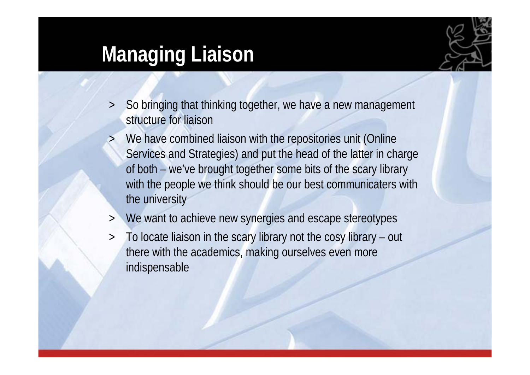### **Managing Liaison**



- $\geq$ So bringing that thinking together, we have a new management structure for liaison
- > We have combined liaison with the repositories unit (Online Services and Strategies) and put the head of the latter in charge of both – we've brought together some bits of the scary library with the people we think should be our best communicaters with the university
- $\geq$ We want to achieve new synergies and escape stereotypes
- $\geq$  To locate liaison in the scary library not the cosy library – out there with the academics, making ourselves even more indispensable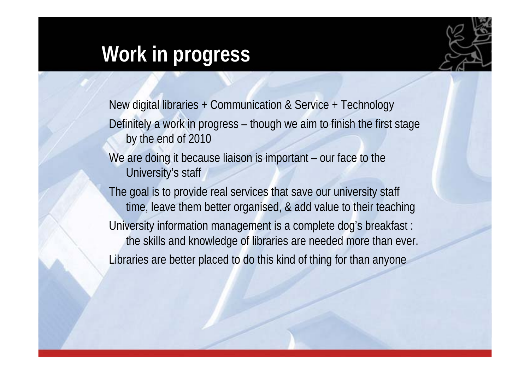#### **Work in progress**



New digital libraries + Communication & Service + Technology Definitely a work in progress – though we aim to finish the first stage by the end of 2010 We are doing it because liaison is important – our face to the University's staff The goal is to provide real services that save our university staff time, leave them better organised, & add value to their teaching University information management is a complete dog's breakfast : the skills and knowledge of libraries are needed more than ever. Libraries are better placed to do this kind of thing for than anyone